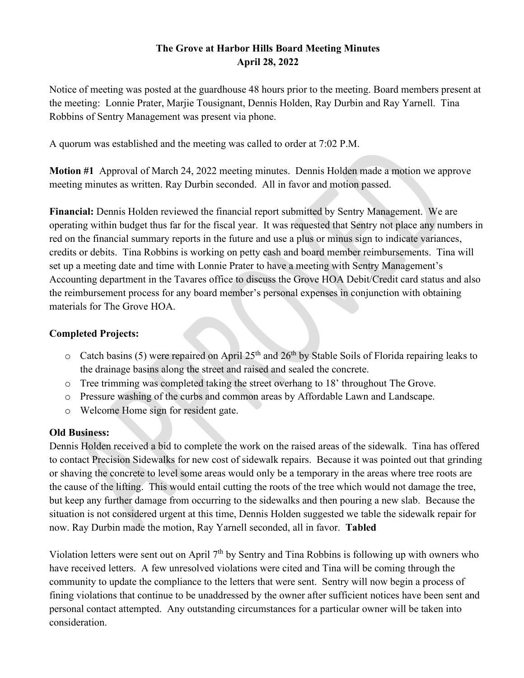## **The Grove at Harbor Hills Board Meeting Minutes April 28, 2022**

Notice of meeting was posted at the guardhouse 48 hours prior to the meeting. Board members present at the meeting: Lonnie Prater, Marjie Tousignant, Dennis Holden, Ray Durbin and Ray Yarnell. Tina Robbins of Sentry Management was present via phone.

A quorum was established and the meeting was called to order at 7:02 P.M.

**Motion #1** Approval of March 24, 2022 meeting minutes. Dennis Holden made a motion we approve meeting minutes as written. Ray Durbin seconded. All in favor and motion passed.

**Financial:** Dennis Holden reviewed the financial report submitted by Sentry Management. We are operating within budget thus far for the fiscal year. It was requested that Sentry not place any numbers in red on the financial summary reports in the future and use a plus or minus sign to indicate variances, credits or debits. Tina Robbins is working on petty cash and board member reimbursements. Tina will set up a meeting date and time with Lonnie Prater to have a meeting with Sentry Management's Accounting department in the Tavares office to discuss the Grove HOA Debit/Credit card status and also the reimbursement process for any board member's personal expenses in conjunction with obtaining materials for The Grove HOA.

## **Completed Projects:**

- $\circ$  Catch basins (5) were repaired on April 25<sup>th</sup> and 26<sup>th</sup> by Stable Soils of Florida repairing leaks to the drainage basins along the street and raised and sealed the concrete.
- o Tree trimming was completed taking the street overhang to 18' throughout The Grove.
- o Pressure washing of the curbs and common areas by Affordable Lawn and Landscape.
- o Welcome Home sign for resident gate.

## **Old Business:**

Dennis Holden received a bid to complete the work on the raised areas of the sidewalk. Tina has offered to contact Precision Sidewalks for new cost of sidewalk repairs. Because it was pointed out that grinding or shaving the concrete to level some areas would only be a temporary in the areas where tree roots are the cause of the lifting. This would entail cutting the roots of the tree which would not damage the tree, but keep any further damage from occurring to the sidewalks and then pouring a new slab. Because the situation is not considered urgent at this time, Dennis Holden suggested we table the sidewalk repair for now. Ray Durbin made the motion, Ray Yarnell seconded, all in favor. **Tabled**

Violation letters were sent out on April  $7<sup>th</sup>$  by Sentry and Tina Robbins is following up with owners who have received letters. A few unresolved violations were cited and Tina will be coming through the community to update the compliance to the letters that were sent. Sentry will now begin a process of fining violations that continue to be unaddressed by the owner after sufficient notices have been sent and personal contact attempted. Any outstanding circumstances for a particular owner will be taken into consideration.